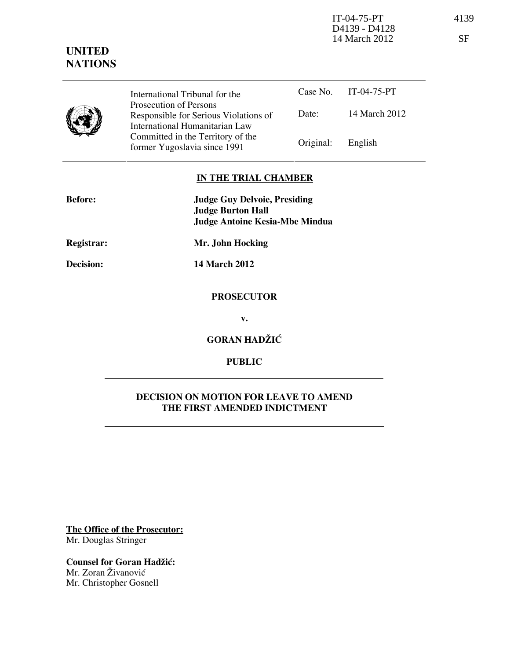IT-04-75-PT 4139 D4139 - D4128 14 March 2012 SF

# UNITED **NATIONS**

Case No. IT-04-75-PT Date: 14 March 2012 International Tribunal for the Prosecution of Persons Responsible for Serious Violations of International Humanitarian Law Committed in the Territory of the Former Yugoslavia since 1991 Original: English

# IN THE TRIAL CHAMBER

| <b>Before:</b>   | <b>Judge Guy Delvoie, Presiding</b><br><b>Judge Burton Hall</b> |
|------------------|-----------------------------------------------------------------|
|                  | <b>Judge Antoine Kesia-Mbe Mindua</b>                           |
| Registrar:       | Mr. John Hocking                                                |
| <b>Decision:</b> | <b>14 March 2012</b>                                            |
|                  | <b>PROSECUTOR</b>                                               |
|                  | v.                                                              |
|                  | <b>GORAN HADŽIĆ</b>                                             |
|                  | <b>PUBLIC</b>                                                   |

## DECISION ON MOTION FOR LEAVE TO AMEND THE FIRST AMENDED INDICTMENT

The Office of the Prosecutor: Mr. Douglas Stringer

Counsel for Goran Hadžić: Mr. Zoran Živanović Mr. Christopher Gosnell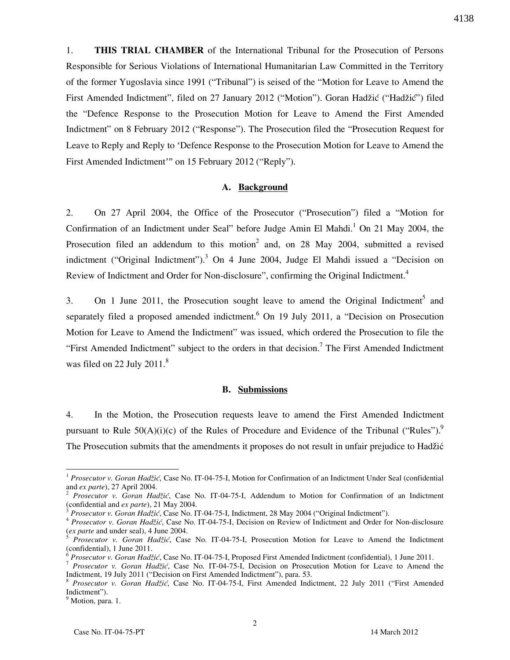1. THIS TRIAL CHAMBER of the International Tribunal for the Prosecution of Persons Responsible for Serious Violations of International Humanitarian Law Committed in the Territory of the former Yugoslavia since 1991 ("Tribunal") is seised of the "Motion for Leave to Amend the First Amended Indictment", filed on 27 January 2012 ("Motion"). Goran Hadžić ("Hadžić") filed the "Defence Response to the Prosecution Motion for Leave to Amend the First Amended Indictment" on 8 February 2012 ("Response"). The Prosecution filed the "Prosecution Request for Leave to Reply and Reply to 'Defence Response to the Prosecution Motion for Leave to Amend the First Amended Indictment'" on 15 February 2012 ("Reply").

### A. Background

2. On 27 April 2004, the Office of the Prosecutor ("Prosecution") filed a "Motion for Confirmation of an Indictment under Seal" before Judge Amin El Mahdi.<sup>1</sup> On 21 May 2004, the Prosecution filed an addendum to this motion<sup>2</sup> and, on 28 May 2004, submitted a revised indictment ("Original Indictment").<sup>3</sup> On 4 June 2004, Judge El Mahdi issued a "Decision on Review of Indictment and Order for Non-disclosure", confirming the Original Indictment.<sup>4</sup>

3. On 1 June 2011, the Prosecution sought leave to amend the Original Indictment<sup>5</sup> and separately filed a proposed amended indictment.<sup>6</sup> On 19 July 2011, a "Decision on Prosecution Motion for Leave to Amend the Indictment" was issued, which ordered the Prosecution to file the "First Amended Indictment" subject to the orders in that decision.<sup>7</sup> The First Amended Indictment was filed on 22 July  $2011<sup>8</sup>$ 

#### B. Submissions

4. In the Motion, the Prosecution requests leave to amend the First Amended Indictment pursuant to Rule  $50(A)(i)(c)$  of the Rules of Procedure and Evidence of the Tribunal ("Rules").<sup>9</sup> The Prosecution submits that the amendments it proposes do not result in unfair prejudice to Hadžić

-

4138

<sup>&</sup>lt;sup>1</sup> Prosecutor v. Goran Hadžić, Case No. IT-04-75-I, Motion for Confirmation of an Indictment Under Seal (confidential and ex parte), 27 April 2004.

<sup>&</sup>lt;sup>2</sup> Prosecutor v. Goran Hadžić, Case No. IT-04-75-I, Addendum to Motion for Confirmation of an Indictment (confidential and ex parte), 21 May 2004.

Prosecutor v. Goran Hadžić, Case No. IT-04-75-I, Indictment, 28 May 2004 ("Original Indictment").

<sup>&</sup>lt;sup>4</sup> Prosecutor v. Goran Hadžić, Case No. IT-04-75-I, Decision on Review of Indictment and Order for Non-disclosure (ex parte and under seal), 4 June 2004.

Prosecutor v. Goran Hadžić, Case No. IT-04-75-I, Prosecution Motion for Leave to Amend the Indictment (confidential), 1 June 2011.

Prosecutor v. Goran Hadžić, Case No. IT-04-75-I, Proposed First Amended Indictment (confidential), 1 June 2011.

<sup>&</sup>lt;sup>7</sup> Prosecutor v. Goran Hadžić, Case No. IT-04-75-I, Decision on Prosecution Motion for Leave to Amend the Indictment, 19 July 2011 ("Decision on First Amended Indictment"), para. 53.

<sup>8</sup> Prosecutor v. Goran Hadžić, Case No. IT-04-75-I, First Amended Indictment, 22 July 2011 ("First Amended Indictment").

<sup>&</sup>lt;sup>9</sup> Motion, para. 1.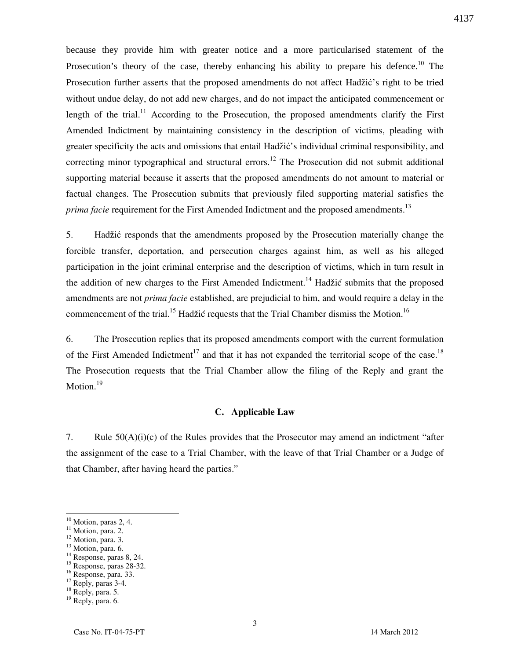because they provide him with greater notice and a more particularised statement of the Prosecution's theory of the case, thereby enhancing his ability to prepare his defence.<sup>10</sup> The Prosecution further asserts that the proposed amendments do not affect Hadžić's right to be tried without undue delay, do not add new charges, and do not impact the anticipated commencement or length of the trial.<sup>11</sup> According to the Prosecution, the proposed amendments clarify the First Amended Indictment by maintaining consistency in the description of victims, pleading with greater specificity the acts and omissions that entail Hadžić's individual criminal responsibility, and correcting minor typographical and structural errors.<sup>12</sup> The Prosecution did not submit additional supporting material because it asserts that the proposed amendments do not amount to material or factual changes. The Prosecution submits that previously filed supporting material satisfies the prima facie requirement for the First Amended Indictment and the proposed amendments.<sup>13</sup>

5. Hadžić responds that the amendments proposed by the Prosecution materially change the forcible transfer, deportation, and persecution charges against him, as well as his alleged participation in the joint criminal enterprise and the description of victims, which in turn result in the addition of new charges to the First Amended Indictment.<sup>14</sup> Hadžić submits that the proposed amendments are not *prima facie* established, are prejudicial to him, and would require a delay in the commencement of the trial.<sup>15</sup> Hadžić requests that the Trial Chamber dismiss the Motion.<sup>16</sup>

6. The Prosecution replies that its proposed amendments comport with the current formulation of the First Amended Indictment<sup>17</sup> and that it has not expanded the territorial scope of the case.<sup>18</sup> The Prosecution requests that the Trial Chamber allow the filing of the Reply and grant the Motion.<sup>19</sup>

## C. Applicable Law

7. Rule 50(A)(i)(c) of the Rules provides that the Prosecutor may amend an indictment "after the assignment of the case to a Trial Chamber, with the leave of that Trial Chamber or a Judge of that Chamber, after having heard the parties."

-

- $12$  Motion, para. 3.
- <sup>13</sup> Motion, para. 6.
- <sup>14</sup> Response, paras 8, 24.
- <sup>15</sup> Response, paras 28-32.

<sup>17</sup> Reply, paras 3-4.

 $10$  Motion, paras 2, 4.

 $11$  Motion, para. 2.

 $16$  Response, para. 33.

<sup>18</sup> Reply, para. 5.

<sup>&</sup>lt;sup>19</sup> Reply, para. 6.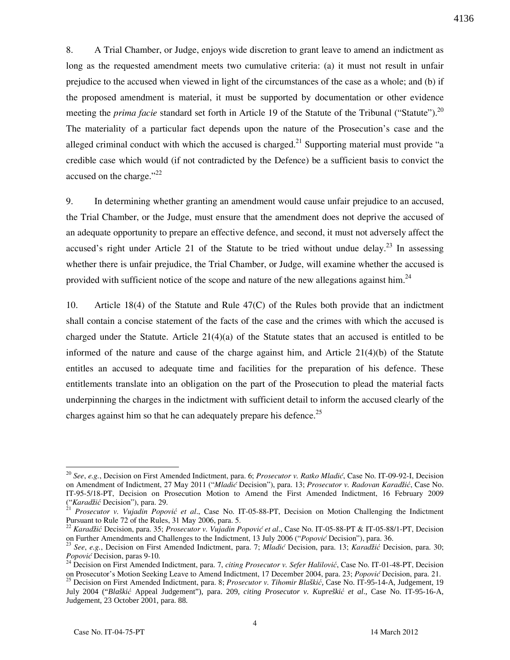8. A Trial Chamber, or Judge, enjoys wide discretion to grant leave to amend an indictment as long as the requested amendment meets two cumulative criteria: (a) it must not result in unfair prejudice to the accused when viewed in light of the circumstances of the case as a whole; and (b) if the proposed amendment is material, it must be supported by documentation or other evidence meeting the *prima facie* standard set forth in Article 19 of the Statute of the Tribunal ("Statute").<sup>20</sup> The materiality of a particular fact depends upon the nature of the Prosecution's case and the alleged criminal conduct with which the accused is charged.<sup>21</sup> Supporting material must provide "a credible case which would (if not contradicted by the Defence) be a sufficient basis to convict the accused on the charge." $^{22}$ 

9. In determining whether granting an amendment would cause unfair prejudice to an accused, the Trial Chamber, or the Judge, must ensure that the amendment does not deprive the accused of an adequate opportunity to prepare an effective defence, and second, it must not adversely affect the accused's right under Article 21 of the Statute to be tried without undue delay.<sup>23</sup> In assessing whether there is unfair prejudice, the Trial Chamber, or Judge, will examine whether the accused is provided with sufficient notice of the scope and nature of the new allegations against him.<sup>24</sup>

10. Article 18(4) of the Statute and Rule 47(C) of the Rules both provide that an indictment shall contain a concise statement of the facts of the case and the crimes with which the accused is charged under the Statute. Article  $21(4)(a)$  of the Statute states that an accused is entitled to be informed of the nature and cause of the charge against him, and Article 21(4)(b) of the Statute entitles an accused to adequate time and facilities for the preparation of his defence. These entitlements translate into an obligation on the part of the Prosecution to plead the material facts underpinning the charges in the indictment with sufficient detail to inform the accused clearly of the charges against him so that he can adequately prepare his defence.<sup>25</sup>

-

4136

<sup>&</sup>lt;sup>20</sup> See, e.g., Decision on First Amended Indictment, para. 6; *Prosecutor v. Ratko Mladić*, Case No. IT-09-92-I, Decision on Amendment of Indictment, 27 May 2011 ("Mladić Decision"), para. 13; Prosecutor v. Radovan Karadžić, Case No. IT-95-5/18-PT, Decision on Prosecution Motion to Amend the First Amended Indictment, 16 February 2009 ("Karad*ž*ić Decision"), para. 29.

 $^{21}$  Prosecutor v. Vujadin Popović et al., Case No. IT-05-88-PT, Decision on Motion Challenging the Indictment Pursuant to Rule 72 of the Rules, 31 May 2006, para. 5.

<sup>&</sup>lt;sup>2</sup> Karadžić Decision, para. 35; Prosecutor v. Vujadin Popović et al., Case No. IT-05-88-PT & IT-05-88/1-PT, Decision on Further Amendments and Challenges to the Indictment, 13 July 2006 ("Popović Decision"), para. 36.

<sup>&</sup>lt;sup>23</sup> See, e.g., Decision on First Amended Indictment, para. 7; Mladić Decision, para. 13; Karadžić Decision, para. 30; Popović Decision, paras 9-10.

<sup>&</sup>lt;sup>24</sup> Decision on First Amended Indictment, para. 7, citing Prosecutor v. Sefer Halilović, Case No. IT-01-48-PT, Decision on Prosecutor's Motion Seeking Leave to Amend Indictment, 17 December 2004, para. 23; Popović Decision, para. 21.

<sup>25</sup> Decision on First Amended Indictment, para. 8; Prosecutor v. Tihomir Bla*š*kić*,* Case No. IT-95-14-A, Judgement, 19 July 2004 ("*Blaški*ć Appeal Judgement"), para. 209, *citing Prosecutor v. Kupreški*ć *et al*., Case No. IT-95-16-A, Judgement, 23 October 2001, para. 88.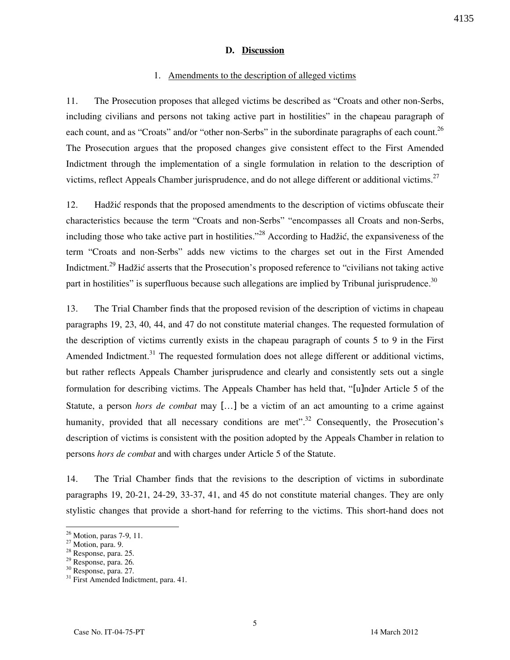### D. Discussion

#### 1. Amendments to the description of alleged victims

11. The Prosecution proposes that alleged victims be described as "Croats and other non-Serbs, including civilians and persons not taking active part in hostilities" in the chapeau paragraph of each count, and as "Croats" and/or "other non-Serbs" in the subordinate paragraphs of each count.<sup>26</sup> The Prosecution argues that the proposed changes give consistent effect to the First Amended Indictment through the implementation of a single formulation in relation to the description of victims, reflect Appeals Chamber jurisprudence, and do not allege different or additional victims.<sup>27</sup>

12. Hadžić responds that the proposed amendments to the description of victims obfuscate their characteristics because the term "Croats and non-Serbs" "encompasses all Croats and non-Serbs, including those who take active part in hostilities.<sup> $28$ </sup> According to Hadžić, the expansiveness of the term "Croats and non-Serbs" adds new victims to the charges set out in the First Amended Indictment.<sup>29</sup> Hadžić asserts that the Prosecution's proposed reference to "civilians not taking active part in hostilities" is superfluous because such allegations are implied by Tribunal jurisprudence. $30$ 

13. The Trial Chamber finds that the proposed revision of the description of victims in chapeau paragraphs 19, 23, 40, 44, and 47 do not constitute material changes. The requested formulation of the description of victims currently exists in the chapeau paragraph of counts 5 to 9 in the First Amended Indictment.<sup>31</sup> The requested formulation does not allege different or additional victims, but rather reflects Appeals Chamber jurisprudence and clearly and consistently sets out a single formulation for describing victims. The Appeals Chamber has held that, "[u]nder Article 5 of the Statute, a person hors de combat may [...] be a victim of an act amounting to a crime against humanity, provided that all necessary conditions are met".<sup>32</sup> Consequently, the Prosecution's description of victims is consistent with the position adopted by the Appeals Chamber in relation to persons hors de combat and with charges under Article 5 of the Statute.

14. The Trial Chamber finds that the revisions to the description of victims in subordinate paragraphs 19, 20-21, 24-29, 33-37, 41, and 45 do not constitute material changes. They are only stylistic changes that provide a short-hand for referring to the victims. This short-hand does not

<sup>&</sup>lt;sup>26</sup> Motion, paras 7-9, 11.

 $27 \text{ Motion}, 1$ <br>27 Motion, para. 9.

<sup>28</sup> Response, para. 25.

<sup>29</sup> Response, para. 26.

<sup>30</sup> Response, para. 27.

<sup>&</sup>lt;sup>31</sup> First Amended Indictment, para. 41.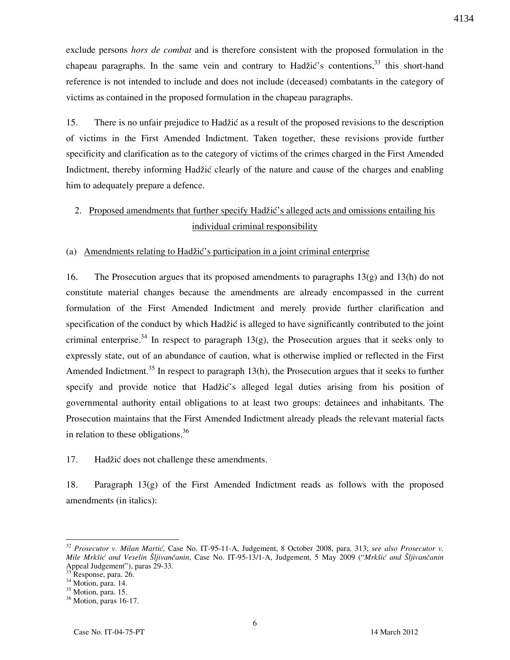exclude persons *hors de combat* and is therefore consistent with the proposed formulation in the chapeau paragraphs. In the same vein and contrary to Hadžić's contentions,  $33$  this short-hand reference is not intended to include and does not include (deceased) combatants in the category of victims as contained in the proposed formulation in the chapeau paragraphs.

15. There is no unfair prejudice to Hadžić as a result of the proposed revisions to the description of victims in the First Amended Indictment. Taken together, these revisions provide further specificity and clarification as to the category of victims of the crimes charged in the First Amended Indictment, thereby informing Hadžić clearly of the nature and cause of the charges and enabling him to adequately prepare a defence.

# 2. Proposed amendments that further specify Hadžić's alleged acts and omissions entailing his individual criminal responsibility

#### (a) Amendments relating to Hadžić's participation in a joint criminal enterprise

16. The Prosecution argues that its proposed amendments to paragraphs 13(g) and 13(h) do not constitute material changes because the amendments are already encompassed in the current formulation of the First Amended Indictment and merely provide further clarification and specification of the conduct by which Hadžić is alleged to have significantly contributed to the joint criminal enterprise.<sup>34</sup> In respect to paragraph  $13(g)$ , the Prosecution argues that it seeks only to expressly state, out of an abundance of caution, what is otherwise implied or reflected in the First Amended Indictment.<sup>35</sup> In respect to paragraph  $13(h)$ , the Prosecution argues that it seeks to further specify and provide notice that Hadžić's alleged legal duties arising from his position of governmental authority entail obligations to at least two groups: detainees and inhabitants. The Prosecution maintains that the First Amended Indictment already pleads the relevant material facts in relation to these obligations.<sup>36</sup>

17. Hadžić does not challenge these amendments.

18. Paragraph 13(g) of the First Amended Indictment reads as follows with the proposed amendments (in italics):

 $32$  Prosecutor v. Milan Martić, Case No. IT-95-11-A, Judgement, 8 October 2008, para. 313; see also Prosecutor v. Mile Mrkšić and Veselin Šliivančanin, Case No. IT-95-13/1-A, Judgement, 5 May 2009 ("Mrkšić and Šliivančanin Appeal Judgement"), paras 29-33.

Response, para. 26.

 $34$  Motion, para. 14.

<sup>&</sup>lt;sup>35</sup> Motion, para. 15.

<sup>&</sup>lt;sup>36</sup> Motion, paras 16-17.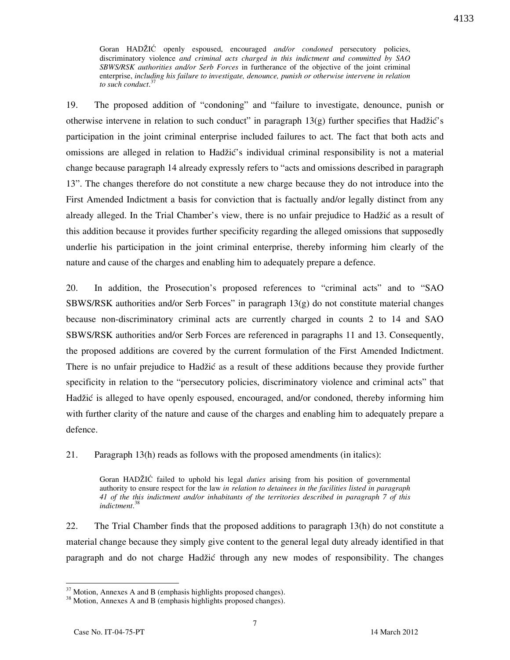Goran HADŽIĆ openly espoused, encouraged and/or condoned persecutory policies, discriminatory violence and criminal acts charged in this indictment and committed by SAO SBWS/RSK authorities and/or Serb Forces in furtherance of the objective of the joint criminal enterprise, including his failure to investigate, denounce, punish or otherwise intervene in relation to such conduct.<sup>37</sup>

19. The proposed addition of "condoning" and "failure to investigate, denounce, punish or otherwise intervene in relation to such conduct" in paragraph  $13(g)$  further specifies that Hadžić's participation in the joint criminal enterprise included failures to act. The fact that both acts and omissions are alleged in relation to Hadžić's individual criminal responsibility is not a material change because paragraph 14 already expressly refers to "acts and omissions described in paragraph 13". The changes therefore do not constitute a new charge because they do not introduce into the First Amended Indictment a basis for conviction that is factually and/or legally distinct from any already alleged. In the Trial Chamber's view, there is no unfair prejudice to Hadžić as a result of this addition because it provides further specificity regarding the alleged omissions that supposedly underlie his participation in the joint criminal enterprise, thereby informing him clearly of the nature and cause of the charges and enabling him to adequately prepare a defence.

20. In addition, the Prosecution's proposed references to "criminal acts" and to "SAO SBWS/RSK authorities and/or Serb Forces" in paragraph  $13(g)$  do not constitute material changes because non-discriminatory criminal acts are currently charged in counts 2 to 14 and SAO SBWS/RSK authorities and/or Serb Forces are referenced in paragraphs 11 and 13. Consequently, the proposed additions are covered by the current formulation of the First Amended Indictment. There is no unfair prejudice to Hadžić as a result of these additions because they provide further specificity in relation to the "persecutory policies, discriminatory violence and criminal acts" that Hadžić is alleged to have openly espoused, encouraged, and/or condoned, thereby informing him with further clarity of the nature and cause of the charges and enabling him to adequately prepare a defence.

21. Paragraph 13(h) reads as follows with the proposed amendments (in italics):

Goran HADŽIĆ failed to uphold his legal *duties* arising from his position of governmental authority to ensure respect for the law in relation to detainees in the facilities listed in paragraph 41 of the this indictment and/or inhabitants of the territories described in paragraph 7 of this indictment. 38

22. The Trial Chamber finds that the proposed additions to paragraph 13(h) do not constitute a material change because they simply give content to the general legal duty already identified in that paragraph and do not charge Hadžić through any new modes of responsibility. The changes

 $37$  Motion, Annexes A and B (emphasis highlights proposed changes).

<sup>&</sup>lt;sup>38</sup> Motion, Annexes A and B (emphasis highlights proposed changes).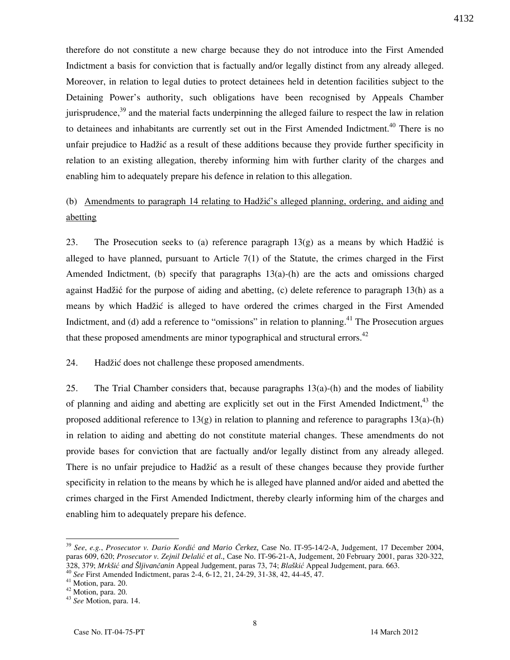therefore do not constitute a new charge because they do not introduce into the First Amended Indictment a basis for conviction that is factually and/or legally distinct from any already alleged. Moreover, in relation to legal duties to protect detainees held in detention facilities subject to the Detaining Power's authority, such obligations have been recognised by Appeals Chamber jurisprudence, $39$  and the material facts underpinning the alleged failure to respect the law in relation to detainees and inhabitants are currently set out in the First Amended Indictment.<sup>40</sup> There is no unfair prejudice to Hadžić as a result of these additions because they provide further specificity in relation to an existing allegation, thereby informing him with further clarity of the charges and enabling him to adequately prepare his defence in relation to this allegation.

# (b) Amendments to paragraph 14 relating to Hadžić's alleged planning, ordering, and aiding and abetting

23. The Prosecution seeks to (a) reference paragraph 13(g) as a means by which Hadžić is alleged to have planned, pursuant to Article  $7(1)$  of the Statute, the crimes charged in the First Amended Indictment, (b) specify that paragraphs 13(a)-(h) are the acts and omissions charged against Hadžić for the purpose of aiding and abetting, (c) delete reference to paragraph 13(h) as a means by which Hadžić is alleged to have ordered the crimes charged in the First Amended Indictment, and (d) add a reference to "omissions" in relation to planning.<sup>41</sup> The Prosecution argues that these proposed amendments are minor typographical and structural errors.<sup>42</sup>

### 24. Hadžić does not challenge these proposed amendments.

25. The Trial Chamber considers that, because paragraphs  $13(a)$ -(h) and the modes of liability of planning and aiding and abetting are explicitly set out in the First Amended Indictment.<sup>43</sup> the proposed additional reference to  $13(g)$  in relation to planning and reference to paragraphs  $13(a)$ -(h) in relation to aiding and abetting do not constitute material changes. These amendments do not provide bases for conviction that are factually and/or legally distinct from any already alleged. There is no unfair prejudice to Hadžić as a result of these changes because they provide further specificity in relation to the means by which he is alleged have planned and/or aided and abetted the crimes charged in the First Amended Indictment, thereby clearly informing him of the charges and enabling him to adequately prepare his defence.

<sup>39</sup> See, e.g., Prosecutor v. Dario Kordić *and Mario* Č*erkez*, Case No. IT-95-14/2-A, Judgement, 17 December 2004, paras 609, 620; Prosecutor v. Zejnil Delalić *et al*., Case No. IT-96-21-A, Judgement, 20 February 2001, paras 320-322, 328, 379; Mrk*š*ić *and Šljivan*č*anin* Appeal Judgement, paras 73, 74; Bla*š*kić Appeal Judgement, para. 663.

<sup>40</sup> See First Amended Indictment, paras 2-4, 6-12, 21, 24-29, 31-38, 42, 44-45, 47.

<sup>41</sup> Motion, para. 20.

<sup>42</sup> Motion, para. 20.

<sup>43</sup> See Motion, para. 14.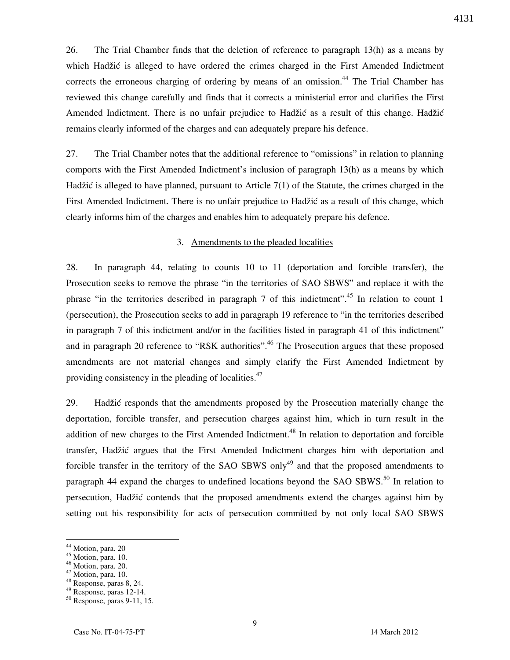26. The Trial Chamber finds that the deletion of reference to paragraph 13(h) as a means by which Hadžić is alleged to have ordered the crimes charged in the First Amended Indictment corrects the erroneous charging of ordering by means of an omission.<sup>44</sup> The Trial Chamber has reviewed this change carefully and finds that it corrects a ministerial error and clarifies the First Amended Indictment. There is no unfair prejudice to Hadžić as a result of this change. Hadžić remains clearly informed of the charges and can adequately prepare his defence.

27. The Trial Chamber notes that the additional reference to "omissions" in relation to planning comports with the First Amended Indictment's inclusion of paragraph 13(h) as a means by which Hadžić is alleged to have planned, pursuant to Article 7(1) of the Statute, the crimes charged in the First Amended Indictment. There is no unfair prejudice to Hadžić as a result of this change, which clearly informs him of the charges and enables him to adequately prepare his defence.

#### 3. Amendments to the pleaded localities

28. In paragraph 44, relating to counts 10 to 11 (deportation and forcible transfer), the Prosecution seeks to remove the phrase "in the territories of SAO SBWS" and replace it with the phrase "in the territories described in paragraph 7 of this indictment".<sup>45</sup> In relation to count 1 (persecution), the Prosecution seeks to add in paragraph 19 reference to "in the territories described in paragraph 7 of this indictment and/or in the facilities listed in paragraph 41 of this indictment" and in paragraph 20 reference to "RSK authorities".<sup>46</sup> The Prosecution argues that these proposed amendments are not material changes and simply clarify the First Amended Indictment by providing consistency in the pleading of localities.<sup>47</sup>

29. Hadžić responds that the amendments proposed by the Prosecution materially change the deportation, forcible transfer, and persecution charges against him, which in turn result in the addition of new charges to the First Amended Indictment.<sup>48</sup> In relation to deportation and forcible transfer, Hadžić argues that the First Amended Indictment charges him with deportation and forcible transfer in the territory of the SAO SBWS only<sup>49</sup> and that the proposed amendments to paragraph 44 expand the charges to undefined locations beyond the SAO SBWS.<sup>50</sup> In relation to persecution, Had`i} contends that the proposed amendments extend the charges against him by setting out his responsibility for acts of persecution committed by not only local SAO SBWS

-

4131

<sup>&</sup>lt;sup>44</sup> Motion, para. 20

<sup>45</sup> Motion, para. 10.

<sup>46</sup> Motion, para. 20.

<sup>&</sup>lt;sup>47</sup> Motion, para. 10.

<sup>48</sup> Response, paras 8, 24.

<sup>49</sup> Response, paras 12-14.

<sup>50</sup> Response, paras 9-11, 15.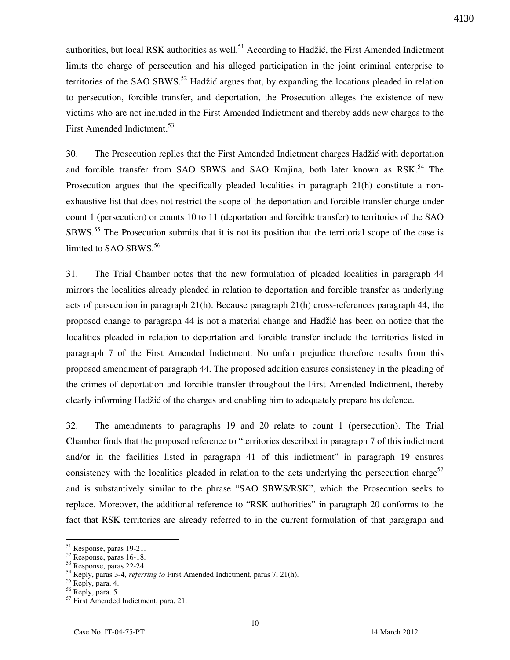authorities, but local RSK authorities as well.<sup>51</sup> According to Hadžić, the First Amended Indictment limits the charge of persecution and his alleged participation in the joint criminal enterprise to territories of the SAO SBWS.<sup>52</sup> Hadžić argues that, by expanding the locations pleaded in relation to persecution, forcible transfer, and deportation, the Prosecution alleges the existence of new victims who are not included in the First Amended Indictment and thereby adds new charges to the First Amended Indictment.<sup>53</sup>

30. The Prosecution replies that the First Amended Indictment charges Hadžić with deportation and forcible transfer from SAO SBWS and SAO Krajina, both later known as RSK.<sup>54</sup> The Prosecution argues that the specifically pleaded localities in paragraph 21(h) constitute a nonexhaustive list that does not restrict the scope of the deportation and forcible transfer charge under count 1 (persecution) or counts 10 to 11 (deportation and forcible transfer) to territories of the SAO SBWS.<sup>55</sup> The Prosecution submits that it is not its position that the territorial scope of the case is limited to SAO SBWS.<sup>56</sup>

31. The Trial Chamber notes that the new formulation of pleaded localities in paragraph 44 mirrors the localities already pleaded in relation to deportation and forcible transfer as underlying acts of persecution in paragraph 21(h). Because paragraph 21(h) cross-references paragraph 44, the proposed change to paragraph 44 is not a material change and Hadžić has been on notice that the localities pleaded in relation to deportation and forcible transfer include the territories listed in paragraph 7 of the First Amended Indictment. No unfair prejudice therefore results from this proposed amendment of paragraph 44. The proposed addition ensures consistency in the pleading of the crimes of deportation and forcible transfer throughout the First Amended Indictment, thereby clearly informing Hadžić of the charges and enabling him to adequately prepare his defence.

32. The amendments to paragraphs 19 and 20 relate to count 1 (persecution). The Trial Chamber finds that the proposed reference to "territories described in paragraph 7 of this indictment and/or in the facilities listed in paragraph 41 of this indictment" in paragraph 19 ensures consistency with the localities pleaded in relation to the acts underlying the persecution charge<sup>57</sup> and is substantively similar to the phrase "SAO SBWS/RSK", which the Prosecution seeks to replace. Moreover, the additional reference to "RSK authorities" in paragraph 20 conforms to the fact that RSK territories are already referred to in the current formulation of that paragraph and

<sup>51</sup> Response, paras 19-21.

<sup>52</sup> Response, paras 16-18.

 $53$  Response, paras 22-24.

 $54$  Reply, paras 3-4, referring to First Amended Indictment, paras 7, 21(h).

<sup>&</sup>lt;sup>55</sup> Reply, para. 4.

<sup>56</sup> Reply, para. 5.

<sup>&</sup>lt;sup>57</sup> First Amended Indictment, para. 21.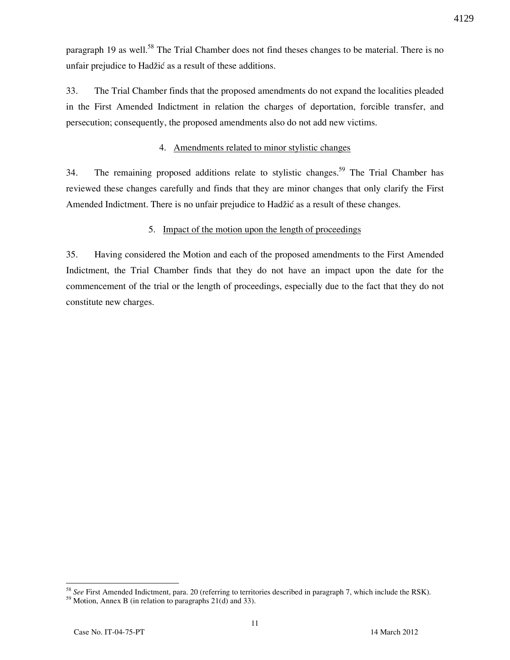paragraph 19 as well.<sup>58</sup> The Trial Chamber does not find theses changes to be material. There is no unfair prejudice to Hadžić as a result of these additions.

33. The Trial Chamber finds that the proposed amendments do not expand the localities pleaded in the First Amended Indictment in relation the charges of deportation, forcible transfer, and persecution; consequently, the proposed amendments also do not add new victims.

### 4. Amendments related to minor stylistic changes

34. The remaining proposed additions relate to stylistic changes.<sup>59</sup> The Trial Chamber has reviewed these changes carefully and finds that they are minor changes that only clarify the First Amended Indictment. There is no unfair prejudice to Hadžić as a result of these changes.

## 5. Impact of the motion upon the length of proceedings

35. Having considered the Motion and each of the proposed amendments to the First Amended Indictment, the Trial Chamber finds that they do not have an impact upon the date for the commencement of the trial or the length of proceedings, especially due to the fact that they do not constitute new charges.

 $58$  See First Amended Indictment, para. 20 (referring to territories described in paragraph 7, which include the RSK).

 $59$  Motion, Annex B (in relation to paragraphs 21(d) and 33).